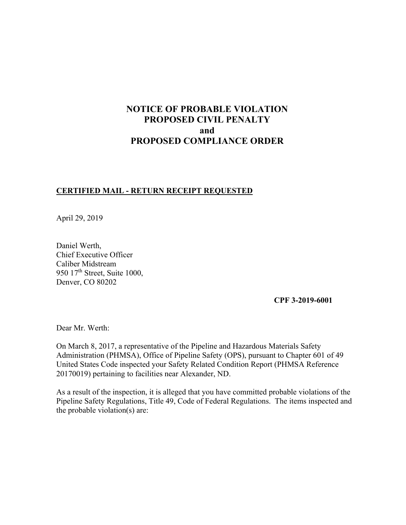# **NOTICE OF PROBABLE VIOLATION PROPOSED CIVIL PENALTY and PROPOSED COMPLIANCE ORDER**

## **CERTIFIED MAIL - RETURN RECEIPT REQUESTED**

April 29, 2019

Daniel Werth, Chief Executive Officer Caliber Midstream 950 17<sup>th</sup> Street, Suite 1000, Denver, CO 80202

**CPF 3-2019-6001** 

Dear Mr. Werth:

On March 8, 2017, a representative of the Pipeline and Hazardous Materials Safety Administration (PHMSA), Office of Pipeline Safety (OPS), pursuant to Chapter 601 of 49 United States Code inspected your Safety Related Condition Report (PHMSA Reference 20170019) pertaining to facilities near Alexander, ND.

As a result of the inspection, it is alleged that you have committed probable violations of the Pipeline Safety Regulations, Title 49, Code of Federal Regulations. The items inspected and the probable violation(s) are: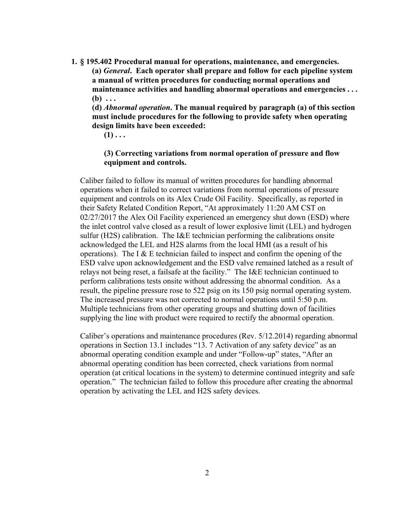**1. § 195.402 Procedural manual for operations, maintenance, and emergencies.** 

**(a)** *General***. Each operator shall prepare and follow for each pipeline system a manual of written procedures for conducting normal operations and maintenance activities and handling abnormal operations and emergencies . . . (b) . . .** 

**(d)** *Abnormal operation***. The manual required by paragraph (a) of this section must include procedures for the following to provide safety when operating design limits have been exceeded:** 

 $(1)$ ...

# **(3) Correcting variations from normal operation of pressure and flow equipment and controls.**

Caliber failed to follow its manual of written procedures for handling abnormal operations when it failed to correct variations from normal operations of pressure equipment and controls on its Alex Crude Oil Facility. Specifically, as reported in their Safety Related Condition Report, "At approximately 11:20 AM CST on 02/27/2017 the Alex Oil Facility experienced an emergency shut down (ESD) where the inlet control valve closed as a result of lower explosive limit (LEL) and hydrogen sulfur (H2S) calibration. The I&E technician performing the calibrations onsite acknowledged the LEL and H2S alarms from the local HMI (as a result of his operations). The I  $& E$  technician failed to inspect and confirm the opening of the ESD valve upon acknowledgement and the ESD valve remained latched as a result of relays not being reset, a failsafe at the facility." The I&E technician continued to perform calibrations tests onsite without addressing the abnormal condition. As a result, the pipeline pressure rose to 522 psig on its 150 psig normal operating system. The increased pressure was not corrected to normal operations until 5:50 p.m. Multiple technicians from other operating groups and shutting down of facilities supplying the line with product were required to rectify the abnormal operation.

Caliber's operations and maintenance procedures (Rev. 5/12.2014) regarding abnormal operations in Section 13.1 includes "13. 7 Activation of any safety device" as an abnormal operating condition example and under "Follow-up" states, "After an abnormal operating condition has been corrected, check variations from normal operation (at critical locations in the system) to determine continued integrity and safe operation." The technician failed to follow this procedure after creating the abnormal operation by activating the LEL and H2S safety devices.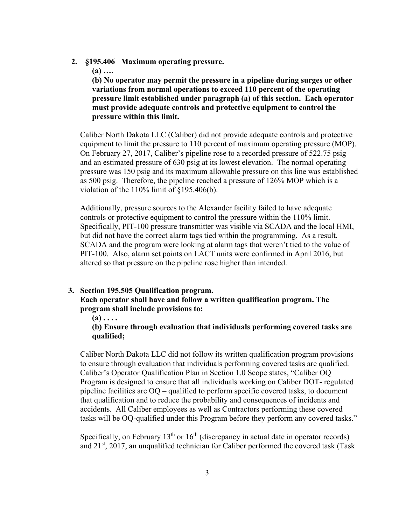- **2. §195.406 Maximum operating pressure.** 
	- **(a) ….**

**(b) No operator may permit the pressure in a pipeline during surges or other variations from normal operations to exceed 110 percent of the operating pressure limit established under paragraph (a) of this section. Each operator must provide adequate controls and protective equipment to control the pressure within this limit.**

Caliber North Dakota LLC (Caliber) did not provide adequate controls and protective equipment to limit the pressure to 110 percent of maximum operating pressure (MOP). On February 27, 2017, Caliber's pipeline rose to a recorded pressure of 522.75 psig and an estimated pressure of 630 psig at its lowest elevation. The normal operating pressure was 150 psig and its maximum allowable pressure on this line was established as 500 psig. Therefore, the pipeline reached a pressure of 126% MOP which is a violation of the 110% limit of §195.406(b).

Additionally, pressure sources to the Alexander facility failed to have adequate controls or protective equipment to control the pressure within the 110% limit. Specifically, PIT-100 pressure transmitter was visible via SCADA and the local HMI, but did not have the correct alarm tags tied within the programming. As a result, SCADA and the program were looking at alarm tags that weren't tied to the value of PIT-100. Also, alarm set points on LACT units were confirmed in April 2016, but altered so that pressure on the pipeline rose higher than intended.

### **3. Section 195.505 Qualification program.**

**Each operator shall have and follow a written qualification program. The program shall include provisions to:** 

**(a) . . . .** 

**(b) Ensure through evaluation that individuals performing covered tasks are qualified;**

Caliber North Dakota LLC did not follow its written qualification program provisions to ensure through evaluation that individuals performing covered tasks are qualified. Caliber's Operator Qualification Plan in Section 1.0 Scope states, "Caliber OQ Program is designed to ensure that all individuals working on Caliber DOT- regulated pipeline facilities are OQ – qualified to perform specific covered tasks, to document that qualification and to reduce the probability and consequences of incidents and accidents. All Caliber employees as well as Contractors performing these covered tasks will be OQ-qualified under this Program before they perform any covered tasks."

Specifically, on February  $13<sup>th</sup>$  or  $16<sup>th</sup>$  (discrepancy in actual date in operator records) and 21st, 2017, an unqualified technician for Caliber performed the covered task (Task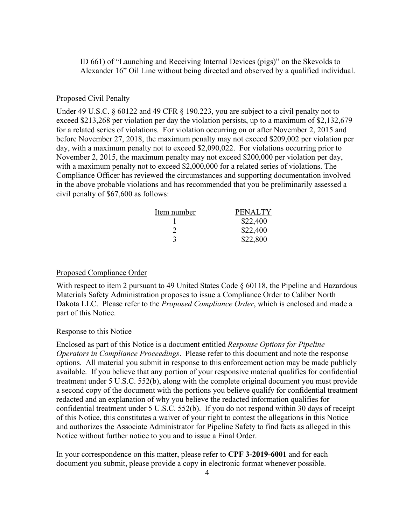ID 661) of "Launching and Receiving Internal Devices (pigs)" on the Skevolds to Alexander 16" Oil Line without being directed and observed by a qualified individual.

## Proposed Civil Penalty

Under 49 U.S.C. § 60122 and 49 CFR § 190.223, you are subject to a civil penalty not to exceed \$213,268 per violation per day the violation persists, up to a maximum of \$2,132,679 for a related series of violations. For violation occurring on or after November 2, 2015 and before November 27, 2018, the maximum penalty may not exceed \$209,002 per violation per day, with a maximum penalty not to exceed \$2,090,022. For violations occurring prior to November 2, 2015, the maximum penalty may not exceed \$200,000 per violation per day, with a maximum penalty not to exceed \$2,000,000 for a related series of violations. The Compliance Officer has reviewed the circumstances and supporting documentation involved in the above probable violations and has recommended that you be preliminarily assessed a civil penalty of \$67,600 as follows:

| Item number | PENALTY  |
|-------------|----------|
|             | \$22,400 |
| $\gamma$    | \$22,400 |
|             | \$22,800 |

### Proposed Compliance Order

With respect to item 2 pursuant to 49 United States Code  $\S$  60118, the Pipeline and Hazardous Materials Safety Administration proposes to issue a Compliance Order to Caliber North Dakota LLC. Please refer to the *Proposed Compliance Order*, which is enclosed and made a part of this Notice.

### Response to this Notice

Enclosed as part of this Notice is a document entitled *Response Options for Pipeline Operators in Compliance Proceedings*. Please refer to this document and note the response options. All material you submit in response to this enforcement action may be made publicly available. If you believe that any portion of your responsive material qualifies for confidential treatment under 5 U.S.C. 552(b), along with the complete original document you must provide a second copy of the document with the portions you believe qualify for confidential treatment redacted and an explanation of why you believe the redacted information qualifies for confidential treatment under 5 U.S.C. 552(b). If you do not respond within 30 days of receipt of this Notice, this constitutes a waiver of your right to contest the allegations in this Notice and authorizes the Associate Administrator for Pipeline Safety to find facts as alleged in this Notice without further notice to you and to issue a Final Order.

In your correspondence on this matter, please refer to **CPF 3-2019-6001** and for each document you submit, please provide a copy in electronic format whenever possible.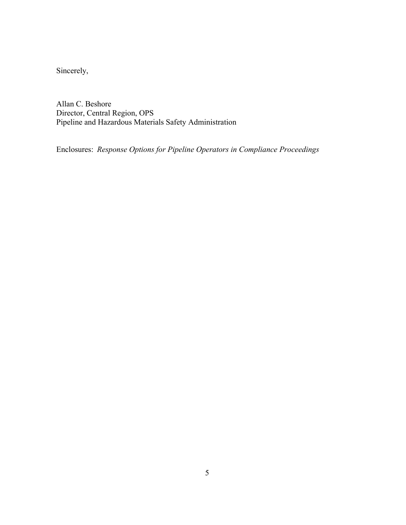Sincerely,

Allan C. Beshore Director, Central Region, OPS Pipeline and Hazardous Materials Safety Administration

Enclosures: *Response Options for Pipeline Operators in Compliance Proceedings*